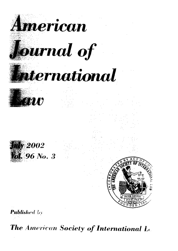

The American Society of International Let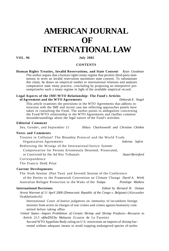# **AMERICAN JOURNAL OF INTERNATIONAL LAW**

**VOL. 96 July 2002** 

## **CONTENTS**

**Human Rights Treaties, Invalid Reservations, and State Consent** *Ryan Goodman*  The author argues that a human rights treaty regime that permits third-party institutions to sever an invalid reservation maximizes state consent. To substantiate this claim, he draws on empirical studies in international relations and analyzes comparative state treaty practice, concluding by proposing an interpretive presumptionfor such a treaty regime in light of the available empirical record.

#### **Legal Aspects of the IMF/WTO Relationship: The Fund's Articles of Agreement and the WTO Agreements** *Deborah E. Siegel*

This article examines the provisions in the WTO Agreements that address interaction with the IMF and recent case law reflecting approaches panels have taken to consulting the Fund. The author points to ambiguities concerning the Fund/WTO relationship in the WTO Agreements and clarifies common misunderstandings about the legal nature of the Fund's activities.

#### **Editorial Comment**

Sex, Gender, and September 11 *Hilary Charlesworth and Christine Chinkin* 

#### **Notes and Comments**

Treaties in Collision? The Biosafety Protocol and the World Trade Organization Agreements *Sobrina Safrin*  Redressing the Wrongs of the International Justice System: Compensation for Persons Erroneously Detained, Prosecuted, or Convicted by the Ad Hoc Tribunals *Stuart Beresford*  **Correspondence** 

The Francis Deák Prize

## **Current Developments**

The Sixth Session (Part Two) and Seventh Session of the Conference

of the Parties to the Framework Convention on Climate Change *David A. Wirth*  Australian Refugee Protection in the Wake of the *Tampa Penelope Mathew* 

## **International Decisions** *Edited by Bernard H. Oxman*

*Arrest Warrant of 11 April 2000 (Democratic Republic of the Congo v. Belgium)* (Alexander Orakhelashvili)

International Court of Justice judgment on immunity of incumbent foreign minister from arrest on charges of war crimes and crimes against humanity committed before taking office

*United States*—*Import Prohibition of Certain Shrimp and Shrimp Products*—*Recourse* to *Article 21.5 oftheDSUby Malaysia* (Louise de La Fayette)

Second WTO Appellate Body ruling on U.S. restrictions on imports of shrimp harvested without adequate means to avoid trapping endangered species of turtles